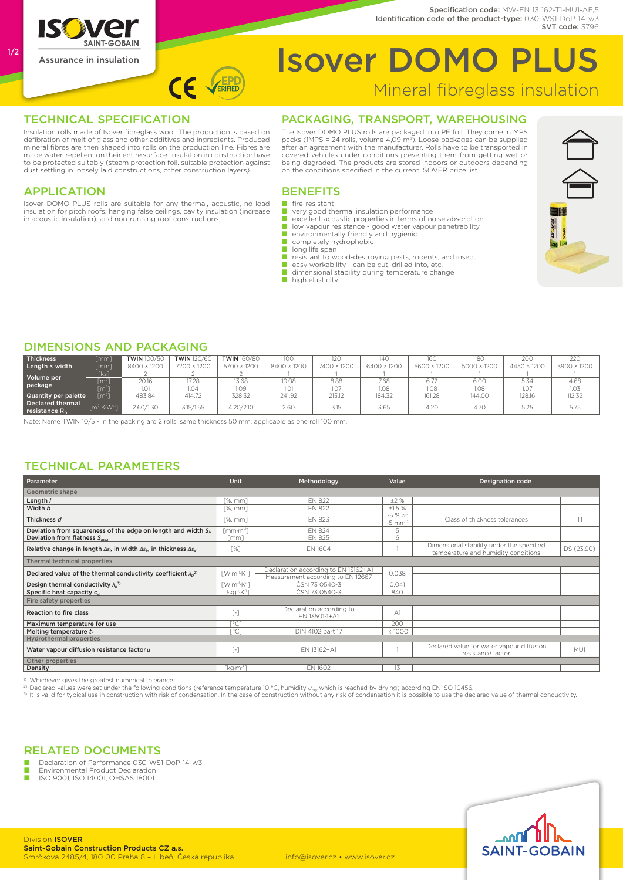

1/2

# Isover DOMO PLUS

### Mineral fibreglass insulation

Identification code of the product-type: 030-WS1-DoP-14-w3

Specification code: MW-FN 13 162-T1-MU1-AF.5

SVT code: 3796

#### TECHNICAL SPECIFICATION

Insulation rolls made of Isover fibreglass wool. The production is based on defibration of melt of glass and other additives and ingredients. Produced mineral fibres are then shaped into rolls on the production line. Fibres are made water-repellent on their entire surface. Insulation in construction have to be protected suitably (steam protection foil, suitable protection against dust settling in loosely laid constructions, other construction layers).

CE VERIFIED

#### **APPLICATION**

Isover DOMO PLUS rolls are suitable for any thermal, acoustic, no-load insulation for pitch roofs, hanging false ceilings, cavity insulation (increase in acoustic insulation), and non-running roof constructions.

#### Packaging, Transport, Warehousing

The Isover DOMO PLUS rolls are packaged into PE foil. They come in MPS packs (1MPS = 24 rolls, volume 4,09 m3). Loose packages can be supplied after an agreement with the manufacturer. Rolls have to be transported in covered vehicles under conditions preventing them from getting wet or being degraded. The products are stored indoors or outdoors depending on the conditions specified in the current ISOVER price list.

#### **BENEFITS**

- fire-resistant<br>■ very good th
- very good thermal insulation performance
- excellent acoustic properties in terms of noise absorption
- low vapour resistance good water vapour penetrability<br>■ environmentally friendly and hygienic
- completely hydrophobic<br>■ long life span
- 
- resistant to wood-destroying pests, rodents, and insect<br>■ easy workability can be cut, drilled into, etc.<br>■ dimensional stability during temperature change
- 
- 
- high elasticity

#### Dimensions and packaging

| Thickness                                    | $\lceil mm \rceil$                       | <b>TWIN 100/50</b> | <b>TWIN</b> 120/60 | <b>TWIN</b> 160/80 | 100         | 120         | 140         | 160         | 180         | 200         | 220         |
|----------------------------------------------|------------------------------------------|--------------------|--------------------|--------------------|-------------|-------------|-------------|-------------|-------------|-------------|-------------|
| Length × width                               | $\lceil mm \rceil$                       | 8400 × 1200        | 7200 × 1200        | × 1200<br>5700     | 8400 × 1200 | 7400 × 1200 | 6400 × 1200 | 5600 × 1200 | 5000 × 1200 | 4450 × 1200 | 3900 × 1200 |
| Volume per<br>package                        | [ks]                                     |                    |                    |                    |             |             |             |             |             |             |             |
|                                              | $\mathsf{[m^{2}]}$                       | 20.16              | 17.28              | 13.68              | 10.08       | 8.88        | 7.68        | 6.72        | 6.00        | 5.34        | 4.68        |
|                                              | $\lceil m^3 \rceil$                      | 1.01               | 1.04               | 1.09               | 1.01        | 1.07        | 1.08        | 1.08        | 1.08        | 1.07        | 1.03        |
| Quantity per palette                         | $\sqrt{2}$                               | 483.84             | 414.72             | 328.32             | 241.92      | 213.12      | 184.32      | 161.28      | 144.00      | 128.16      | 112.32      |
| Declared thermal<br>reistance R <sub>n</sub> | $\lceil m^2 \cdot K \cdot W^{-1} \rceil$ | 2.60/1.30          | 3.15/1.55          | 4.20/2.10          | 2.60        | 3.15        | 3.65        | 4.20        | 4.70        | 5.25        | 5.75        |

Note: Name TWIN 10/5 - in the packing are 2 rolls, same thickness 50 mm, applicable as one roll 100 mm.

#### Technical Parameters

| Parameter                                                                                                                | <b>Unit</b>                                            | Methodology                                                               | Value                                                          | <b>Designation code</b>                                                          |            |  |  |  |  |  |
|--------------------------------------------------------------------------------------------------------------------------|--------------------------------------------------------|---------------------------------------------------------------------------|----------------------------------------------------------------|----------------------------------------------------------------------------------|------------|--|--|--|--|--|
| Geometric shape                                                                                                          |                                                        |                                                                           |                                                                |                                                                                  |            |  |  |  |  |  |
| Length /                                                                                                                 | <b>F%.</b> mm1                                         | <b>EN 822</b>                                                             | ±2%                                                            |                                                                                  |            |  |  |  |  |  |
| Width b                                                                                                                  | $[%$ , mm $]$                                          | <b>EN 822</b>                                                             | ±1.5%                                                          |                                                                                  |            |  |  |  |  |  |
| Thickness d                                                                                                              | $[%$ , mm $]$                                          | <b>EN 823</b>                                                             | -5 % or<br>$-5$ mm <sup><math>1</math></sup>                   | Class of thickness tolerances                                                    | T1         |  |  |  |  |  |
| Deviation from squareness of the edge on length and width $S_b$                                                          | [mm·m <sup>-1</sup> ]                                  | <b>EN 824</b>                                                             | 5                                                              |                                                                                  |            |  |  |  |  |  |
| Deviation from flatness $S_{max}$                                                                                        | [mm]                                                   | <b>EN 825</b>                                                             | 6                                                              |                                                                                  |            |  |  |  |  |  |
| Relative change in length $\Delta \varepsilon_0$ , in width $\Delta \varepsilon_0$ , in thickness $\Delta \varepsilon_d$ | $\lceil\% \rceil$                                      | EN 1604                                                                   |                                                                | Dimensional stability under the specified<br>temperature and humidity conditions | DS (23,90) |  |  |  |  |  |
| Thermal technical properties                                                                                             |                                                        |                                                                           |                                                                |                                                                                  |            |  |  |  |  |  |
| Declared value of the thermal conductivity coefficient $\lambda_0^2$                                                     | $\lceil$ W·m <sup>-1</sup> ·K <sup>-1</sup> ]          | Declaration according to EN 13162+A1<br>Measurement according to EN 12667 | 0.038                                                          |                                                                                  |            |  |  |  |  |  |
| Design thermal conductivity $\lambda_u^{(3)}$                                                                            | $\lceil W \cdot m^{-1} \cdot K^{-1} \rceil$            | ČSN 73 0540-3                                                             | 0.041                                                          |                                                                                  |            |  |  |  |  |  |
| Specific heat capacity c                                                                                                 | [J·kg <sup>-1</sup> ·K <sup>-1</sup> ]                 | ČSN 73 0540-3                                                             | 840                                                            |                                                                                  |            |  |  |  |  |  |
| Fire safety properties                                                                                                   |                                                        |                                                                           |                                                                |                                                                                  |            |  |  |  |  |  |
| Reaction to fire class                                                                                                   | $\lceil - \rceil$                                      | Declaration according to<br>EN 13501-1+A1                                 | A <sub>1</sub>                                                 |                                                                                  |            |  |  |  |  |  |
| Maximum temperature for use                                                                                              | $\lceil$ °C]                                           |                                                                           | 200                                                            |                                                                                  |            |  |  |  |  |  |
| Melting temperature t,                                                                                                   | [°C]                                                   | DIN 4102 part 17                                                          | <1000                                                          |                                                                                  |            |  |  |  |  |  |
| <b>Hydrothermal properties</b>                                                                                           |                                                        |                                                                           |                                                                |                                                                                  |            |  |  |  |  |  |
| Water vapour diffusion resistance factor $\mu$                                                                           | $\left[ \begin{array}{c} - \end{array} \right]$        | EN 13162+A1                                                               | Declared value for water vapour diffusion<br>resistance factor |                                                                                  | MU1        |  |  |  |  |  |
| Other properties                                                                                                         |                                                        |                                                                           |                                                                |                                                                                  |            |  |  |  |  |  |
| Density                                                                                                                  | $\lceil \text{kg}\cdot \text{m} \cdot \text{m} \rceil$ | EN 1602                                                                   | 13                                                             |                                                                                  |            |  |  |  |  |  |

<sup>1)</sup> Whichever gives the greatest numerical tolerance.

<sup>2)</sup> Declared values were set under the following conditions (reference temperature 10 °C, humidity  $u_{\alpha y}$  which is reached by drying) according EN ISO 10456.<br><sup>3)</sup> It is valid for typical use in construction with risk o

#### Related Documents

Declaration of Performance 030-WS1-DoP-14-w3

■ Environmental Product Declaration<br>■ ISO 9001, ISO 14001, OHSAS 18001





**Division ISOVER** Saint-Gobain Construction Products CZ a.s. Smrčkova 2485/4, 180 00 Praha 8 – Libeň, Česká republika